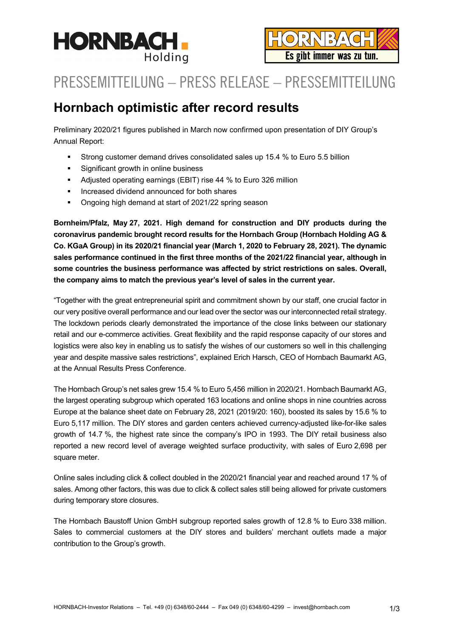

# PRESSEMITTEILUNG – PRESS RELEASE – PRESSEMITTEILUNG

## **Hornbach optimistic after record results**

Preliminary 2020/21 figures published in March now confirmed upon presentation of DIY Group's Annual Report:

- Strong customer demand drives consolidated sales up 15.4 % to Euro 5.5 billion
- Significant growth in online business
- Adjusted operating earnings (EBIT) rise 44 % to Euro 326 million
- **Increased dividend announced for both shares**
- Ongoing high demand at start of 2021/22 spring season

**Bornheim/Pfalz, May 27, 2021. High demand for construction and DIY products during the coronavirus pandemic brought record results for the Hornbach Group (Hornbach Holding AG & Co. KGaA Group) in its 2020/21 financial year (March 1, 2020 to February 28, 2021). The dynamic sales performance continued in the first three months of the 2021/22 financial year, although in some countries the business performance was affected by strict restrictions on sales. Overall, the company aims to match the previous year's level of sales in the current year.** 

"Together with the great entrepreneurial spirit and commitment shown by our staff, one crucial factor in our very positive overall performance and our lead over the sector was our interconnected retail strategy. The lockdown periods clearly demonstrated the importance of the close links between our stationary retail and our e-commerce activities. Great flexibility and the rapid response capacity of our stores and logistics were also key in enabling us to satisfy the wishes of our customers so well in this challenging year and despite massive sales restrictions", explained Erich Harsch, CEO of Hornbach Baumarkt AG, at the Annual Results Press Conference.

The Hornbach Group's net sales grew 15.4 % to Euro 5,456 million in 2020/21. Hornbach Baumarkt AG, the largest operating subgroup which operated 163 locations and online shops in nine countries across Europe at the balance sheet date on February 28, 2021 (2019/20: 160), boosted its sales by 15.6 % to Euro 5,117 million. The DIY stores and garden centers achieved currency-adjusted like-for-like sales growth of 14.7 %, the highest rate since the company's IPO in 1993. The DIY retail business also reported a new record level of average weighted surface productivity, with sales of Euro 2,698 per square meter.

Online sales including click & collect doubled in the 2020/21 financial year and reached around 17 % of sales. Among other factors, this was due to click & collect sales still being allowed for private customers during temporary store closures.

The Hornbach Baustoff Union GmbH subgroup reported sales growth of 12.8 % to Euro 338 million. Sales to commercial customers at the DIY stores and builders' merchant outlets made a major contribution to the Group's growth.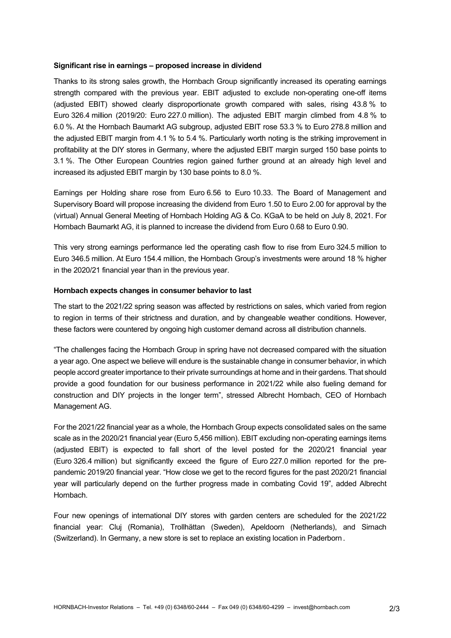#### **Significant rise in earnings – proposed increase in dividend**

Thanks to its strong sales growth, the Hornbach Group significantly increased its operating earnings strength compared with the previous year. EBIT adjusted to exclude non-operating one-off items (adjusted EBIT) showed clearly disproportionate growth compared with sales, rising 43.8 % to Euro 326.4 million (2019/20: Euro 227.0 million). The adjusted EBIT margin climbed from 4.8 % to 6.0 %. At the Hornbach Baumarkt AG subgroup, adjusted EBIT rose 53.3 % to Euro 278.8 million and the adjusted EBIT margin from 4.1 % to 5.4 %. Particularly worth noting is the striking improvement in profitability at the DIY stores in Germany, where the adjusted EBIT margin surged 150 base points to 3.1 %. The Other European Countries region gained further ground at an already high level and increased its adjusted EBIT margin by 130 base points to 8.0 %.

Earnings per Holding share rose from Euro 6.56 to Euro 10.33. The Board of Management and Supervisory Board will propose increasing the dividend from Euro 1.50 to Euro 2.00 for approval by the (virtual) Annual General Meeting of Hornbach Holding AG & Co. KGaA to be held on July 8, 2021. For Hornbach Baumarkt AG, it is planned to increase the dividend from Euro 0.68 to Euro 0.90.

This very strong earnings performance led the operating cash flow to rise from Euro 324.5 million to Euro 346.5 million. At Euro 154.4 million, the Hornbach Group's investments were around 18 % higher in the 2020/21 financial year than in the previous year.

#### **Hornbach expects changes in consumer behavior to last**

The start to the 2021/22 spring season was affected by restrictions on sales, which varied from region to region in terms of their strictness and duration, and by changeable weather conditions. However, these factors were countered by ongoing high customer demand across all distribution channels.

"The challenges facing the Hornbach Group in spring have not decreased compared with the situation a year ago. One aspect we believe will endure is the sustainable change in consumer behavior, in which people accord greater importance to their private surroundings at home and in their gardens. That should provide a good foundation for our business performance in 2021/22 while also fueling demand for construction and DIY projects in the longer term", stressed Albrecht Hornbach, CEO of Hornbach Management AG.

For the 2021/22 financial year as a whole, the Hornbach Group expects consolidated sales on the same scale as in the 2020/21 financial year (Euro 5,456 million). EBIT excluding non-operating earnings items (adjusted EBIT) is expected to fall short of the level posted for the 2020/21 financial year (Euro 326.4 million) but significantly exceed the figure of Euro 227.0 million reported for the prepandemic 2019/20 financial year. "How close we get to the record figures for the past 2020/21 financial year will particularly depend on the further progress made in combating Covid 19", added Albrecht Hornbach.

Four new openings of international DIY stores with garden centers are scheduled for the 2021/22 financial year: Cluj (Romania), Trollhättan (Sweden), Apeldoorn (Netherlands), and Sirnach (Switzerland). In Germany, a new store is set to replace an existing location in Paderborn.